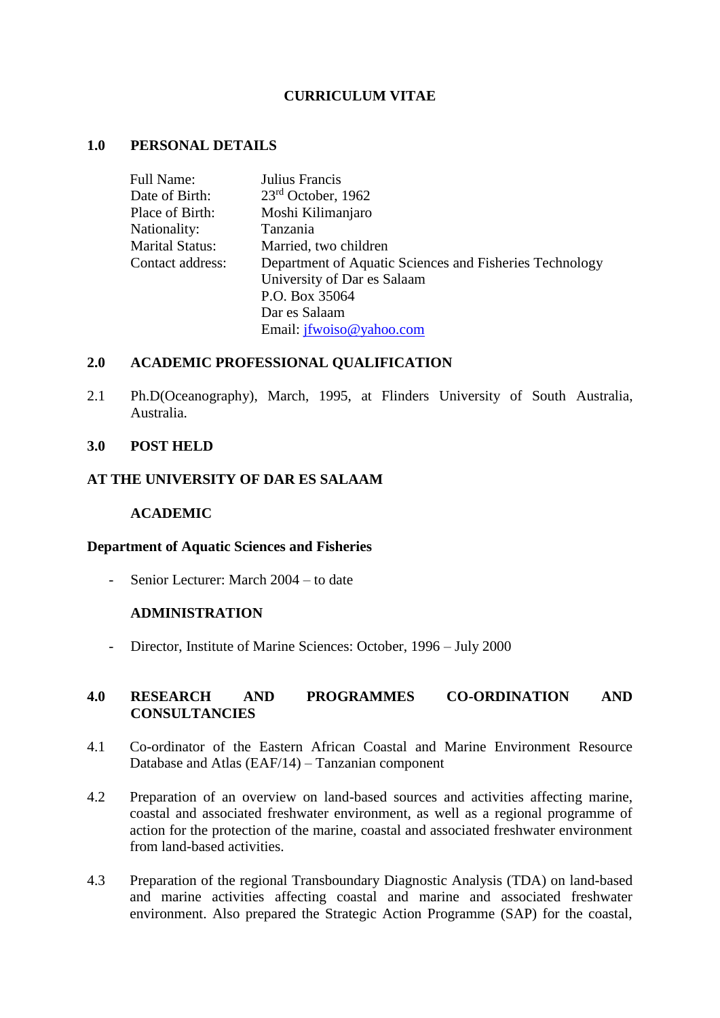# **CURRICULUM VITAE**

### **1.0 PERSONAL DETAILS**

| Full Name:             | Julius Francis                                          |
|------------------------|---------------------------------------------------------|
| Date of Birth:         | $23rd$ October, 1962                                    |
| Place of Birth:        | Moshi Kilimanjaro                                       |
| Nationality:           | Tanzania                                                |
| <b>Marital Status:</b> | Married, two children                                   |
| Contact address:       | Department of Aquatic Sciences and Fisheries Technology |
|                        | University of Dar es Salaam                             |
|                        | P.O. Box 35064                                          |
|                        | Dar es Salaam                                           |
|                        | Email: jfwoiso@yahoo.com                                |

### **2.0 ACADEMIC PROFESSIONAL QUALIFICATION**

2.1 Ph.D(Oceanography), March, 1995, at Flinders University of South Australia, Australia.

### **3.0 POST HELD**

### **AT THE UNIVERSITY OF DAR ES SALAAM**

### **ACADEMIC**

### **Department of Aquatic Sciences and Fisheries**

- Senior Lecturer: March 2004 – to date

### **ADMINISTRATION**

- Director, Institute of Marine Sciences: October, 1996 – July 2000

## **4.0 RESEARCH AND PROGRAMMES CO-ORDINATION AND CONSULTANCIES**

- 4.1 Co-ordinator of the Eastern African Coastal and Marine Environment Resource Database and Atlas (EAF/14) – Tanzanian component
- 4.2 Preparation of an overview on land-based sources and activities affecting marine, coastal and associated freshwater environment, as well as a regional programme of action for the protection of the marine, coastal and associated freshwater environment from land-based activities.
- 4.3 Preparation of the regional Transboundary Diagnostic Analysis (TDA) on land-based and marine activities affecting coastal and marine and associated freshwater environment. Also prepared the Strategic Action Programme (SAP) for the coastal,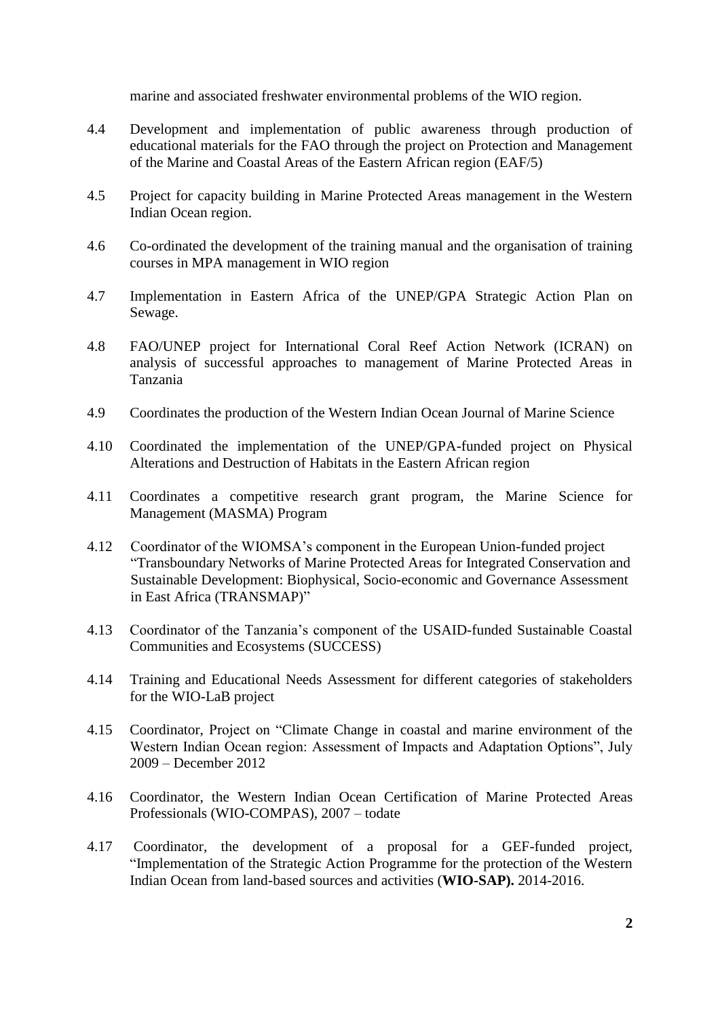marine and associated freshwater environmental problems of the WIO region.

- 4.4 Development and implementation of public awareness through production of educational materials for the FAO through the project on Protection and Management of the Marine and Coastal Areas of the Eastern African region (EAF/5)
- 4.5 Project for capacity building in Marine Protected Areas management in the Western Indian Ocean region.
- 4.6 Co-ordinated the development of the training manual and the organisation of training courses in MPA management in WIO region
- 4.7 Implementation in Eastern Africa of the UNEP/GPA Strategic Action Plan on Sewage.
- 4.8 FAO/UNEP project for International Coral Reef Action Network (ICRAN) on analysis of successful approaches to management of Marine Protected Areas in Tanzania
- 4.9 Coordinates the production of the Western Indian Ocean Journal of Marine Science
- 4.10 Coordinated the implementation of the UNEP/GPA-funded project on Physical Alterations and Destruction of Habitats in the Eastern African region
- 4.11 Coordinates a competitive research grant program, the Marine Science for Management (MASMA) Program
- 4.12 Coordinator of the WIOMSA's component in the European Union-funded project "Transboundary Networks of Marine Protected Areas for Integrated Conservation and Sustainable Development: Biophysical, Socio-economic and Governance Assessment in East Africa (TRANSMAP)"
- 4.13 Coordinator of the Tanzania's component of the USAID-funded Sustainable Coastal Communities and Ecosystems (SUCCESS)
- 4.14 Training and Educational Needs Assessment for different categories of stakeholders for the WIO-LaB project
- 4.15 Coordinator, Project on "Climate Change in coastal and marine environment of the Western Indian Ocean region: Assessment of Impacts and Adaptation Options", July 2009 – December 2012
- 4.16 Coordinator, the Western Indian Ocean Certification of Marine Protected Areas Professionals (WIO-COMPAS), 2007 – todate
- 4.17 Coordinator, the development of a proposal for a GEF-funded project, "Implementation of the Strategic Action Programme for the protection of the Western Indian Ocean from land-based sources and activities (**WIO-SAP).** 2014-2016.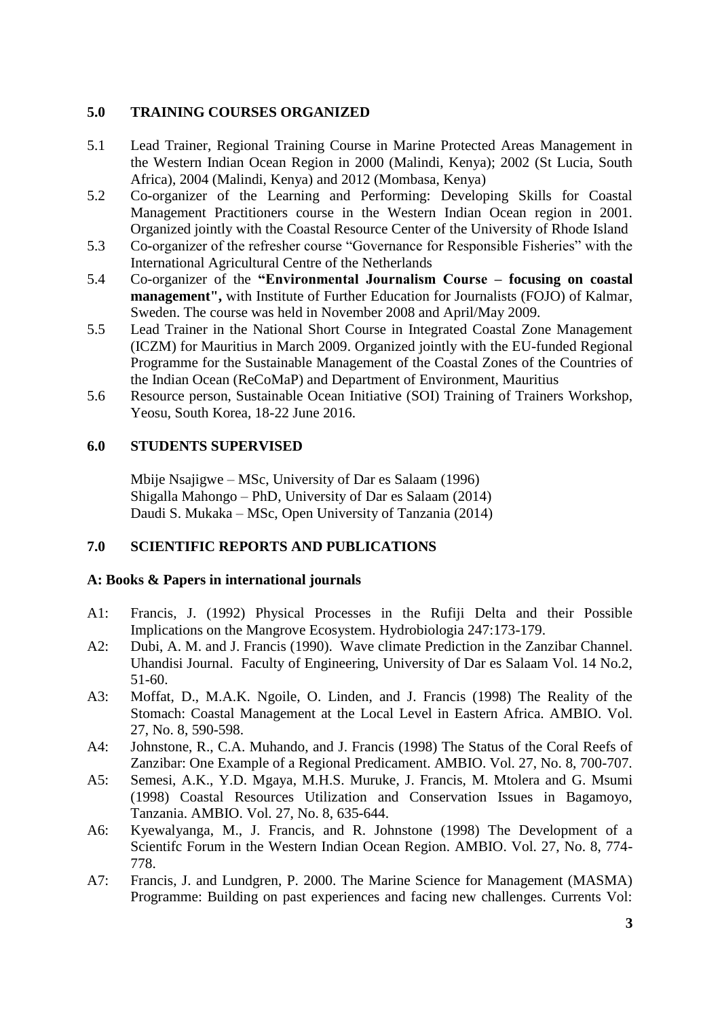### **5.0 TRAINING COURSES ORGANIZED**

- 5.1 Lead Trainer, Regional Training Course in Marine Protected Areas Management in the Western Indian Ocean Region in 2000 (Malindi, Kenya); 2002 (St Lucia, South Africa), 2004 (Malindi, Kenya) and 2012 (Mombasa, Kenya)
- 5.2 Co-organizer of the Learning and Performing: Developing Skills for Coastal Management Practitioners course in the Western Indian Ocean region in 2001. Organized jointly with the Coastal Resource Center of the University of Rhode Island
- 5.3 Co-organizer of the refresher course "Governance for Responsible Fisheries" with the International Agricultural Centre of the Netherlands
- 5.4 Co-organizer of the **"Environmental Journalism Course – focusing on coastal management",** with Institute of Further Education for Journalists (FOJO) of Kalmar, Sweden. The course was held in November 2008 and April/May 2009.
- 5.5 Lead Trainer in the National Short Course in Integrated Coastal Zone Management (ICZM) for Mauritius in March 2009. Organized jointly with the EU-funded Regional Programme for the Sustainable Management of the Coastal Zones of the Countries of the Indian Ocean (ReCoMaP) and Department of Environment, Mauritius
- 5.6 Resource person, Sustainable Ocean Initiative (SOI) Training of Trainers Workshop, Yeosu, South Korea, 18-22 June 2016.

### **6.0 STUDENTS SUPERVISED**

Mbije Nsajigwe – MSc, University of Dar es Salaam (1996) Shigalla Mahongo – PhD, University of Dar es Salaam (2014) Daudi S. Mukaka – MSc, Open University of Tanzania (2014)

## **7.0 SCIENTIFIC REPORTS AND PUBLICATIONS**

### **A: Books & Papers in international journals**

- A1: Francis, J. (1992) Physical Processes in the Rufiji Delta and their Possible Implications on the Mangrove Ecosystem. Hydrobiologia 247:173-179.
- A2: Dubi, A. M. and J. Francis (1990). Wave climate Prediction in the Zanzibar Channel. Uhandisi Journal. Faculty of Engineering, University of Dar es Salaam Vol. 14 No.2, 51-60.
- A3: Moffat, D., M.A.K. Ngoile, O. Linden, and J. Francis (1998) The Reality of the Stomach: Coastal Management at the Local Level in Eastern Africa. AMBIO. Vol. 27, No. 8, 590-598.
- A4: Johnstone, R., C.A. Muhando, and J. Francis (1998) The Status of the Coral Reefs of Zanzibar: One Example of a Regional Predicament. AMBIO. Vol. 27, No. 8, 700-707.
- A5: Semesi, A.K., Y.D. Mgaya, M.H.S. Muruke, J. Francis, M. Mtolera and G. Msumi (1998) Coastal Resources Utilization and Conservation Issues in Bagamoyo, Tanzania. AMBIO. Vol. 27, No. 8, 635-644.
- A6: Kyewalyanga, M., J. Francis, and R. Johnstone (1998) The Development of a Scientifc Forum in the Western Indian Ocean Region. AMBIO. Vol. 27, No. 8, 774- 778.
- A7: Francis, J. and Lundgren, P. 2000. The Marine Science for Management (MASMA) Programme: Building on past experiences and facing new challenges. Currents Vol: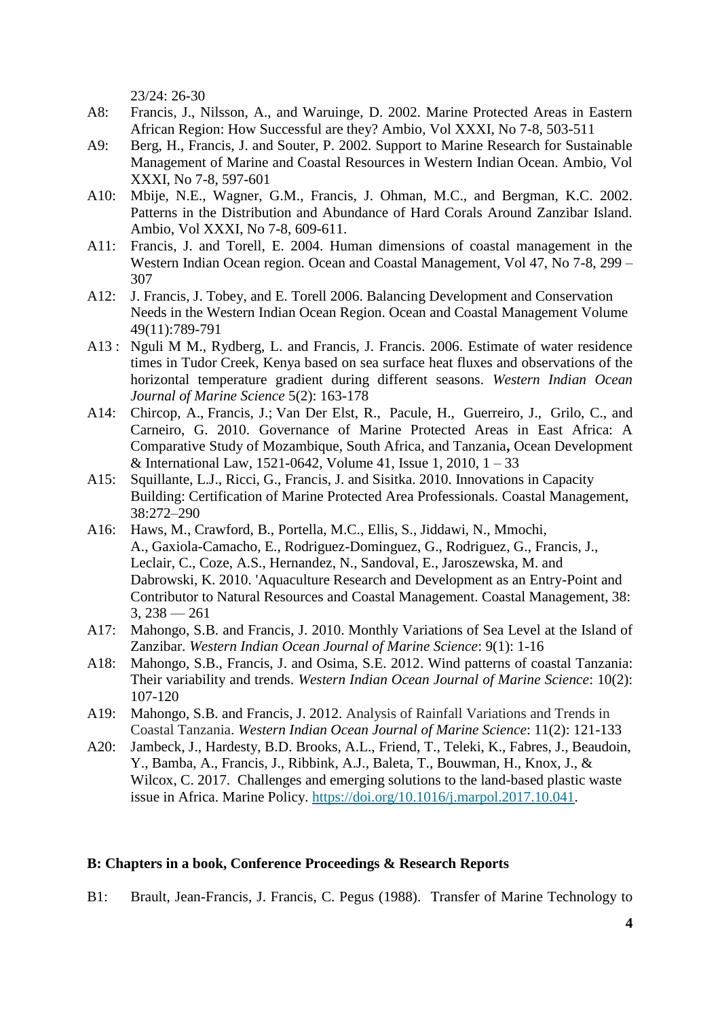23/24: 26-30

- A8: Francis, J., Nilsson, A., and Waruinge, D. 2002. Marine Protected Areas in Eastern African Region: How Successful are they? Ambio, Vol XXXI, No 7-8, 503-511
- A9: Berg, H., Francis, J. and Souter, P. 2002. Support to Marine Research for Sustainable Management of Marine and Coastal Resources in Western Indian Ocean. Ambio, Vol XXXI, No 7-8, 597-601
- A10: Mbije, N.E., Wagner, G.M., Francis, J. Ohman, M.C., and Bergman, K.C. 2002. Patterns in the Distribution and Abundance of Hard Corals Around Zanzibar Island. Ambio, Vol XXXI, No 7-8, 609-611.
- A11: Francis, J. and Torell, E. 2004. Human dimensions of coastal management in the Western Indian Ocean region. Ocean and Coastal Management, Vol 47, No 7-8, 299 – 307
- A12: J. Francis, J. Tobey, and E. Torell 2006. Balancing Development and Conservation Needs in the Western Indian Ocean Region. Ocean and Coastal Management Volume 49(11):789-791
- A13 : Nguli M M., Rydberg, L. and Francis, J. Francis. 2006. Estimate of water residence times in Tudor Creek, Kenya based on sea surface heat fluxes and observations of the horizontal temperature gradient during different seasons. *Western Indian Ocean Journal of Marine Science* 5(2): 163-178
- A14: Chircop, A., Francis, J.; Van Der Elst, R., Pacule, H., Guerreiro, J., Grilo, C., and Carneiro, G. 2010. Governance of Marine Protected Areas in East Africa: A Comparative Study of Mozambique, South Africa, and Tanzania**,** Ocean Development & International Law, 1521-0642, Volume 41, Issue 1, 2010, 1 – 33
- A15: Squillante, L.J., Ricci, G., Francis, J. and Sisitka. 2010. Innovations in Capacity Building: Certification of Marine Protected Area Professionals. Coastal Management, 38:272–290
- A16: Haws, M., Crawford, B., Portella, M.C., Ellis, S., Jiddawi, N., Mmochi, A., Gaxiola-Camacho, E., Rodriguez-Dominguez, G., Rodriguez, G., Francis, J., Leclair, C., Coze, A.S., Hernandez, N., Sandoval, E., Jaroszewska, M. and Dabrowski, K. 2010. 'Aquaculture Research and Development as an Entry-Point and Contributor to Natural Resources and Coastal Management. Coastal Management, 38:  $3,238 - 261$
- A17: Mahongo, S.B. and Francis, J. 2010. Monthly Variations of Sea Level at the Island of Zanzibar. *Western Indian Ocean Journal of Marine Science*: 9(1): 1-16
- A18: Mahongo, S.B., Francis, J. and Osima, S.E. 2012. Wind patterns of coastal Tanzania: Their variability and trends. *Western Indian Ocean Journal of Marine Science*: 10(2): 107-120
- A19: Mahongo, S.B. and Francis, J. 2012. Analysis of Rainfall Variations and Trends in Coastal Tanzania. *Western Indian Ocean Journal of Marine Science*: 11(2): 121-133
- A20: [Jambeck, J.,](http://www.sciencedirect.com/science/article/pii/S0308597X17305286?via%3Dihub#!) [Hardesty, B.D.](http://www.sciencedirect.com/science/article/pii/S0308597X17305286?via%3Dihub#!) [Brooks, A.L.,](http://www.sciencedirect.com/science/article/pii/S0308597X17305286?via%3Dihub#!) Friend, T., Teleki, K., Fabres, J., Beaudoin, Y., Bamba, A., Francis, J., Ribbink, A.J., Baleta, T., Bouwman, H., Knox, J., & Wilcox, C. 2017. Challenges and emerging solutions to the land-based plastic waste issue in Africa. Marine Policy. [https://doi.org/10.1016/j.marpol.2017.10.041.](https://doi.org/10.1016/j.marpol.2017.10.041)

### **B: Chapters in a book, Conference Proceedings & Research Reports**

B1: Brault, Jean-Francis, J. Francis, C. Pegus (1988). Transfer of Marine Technology to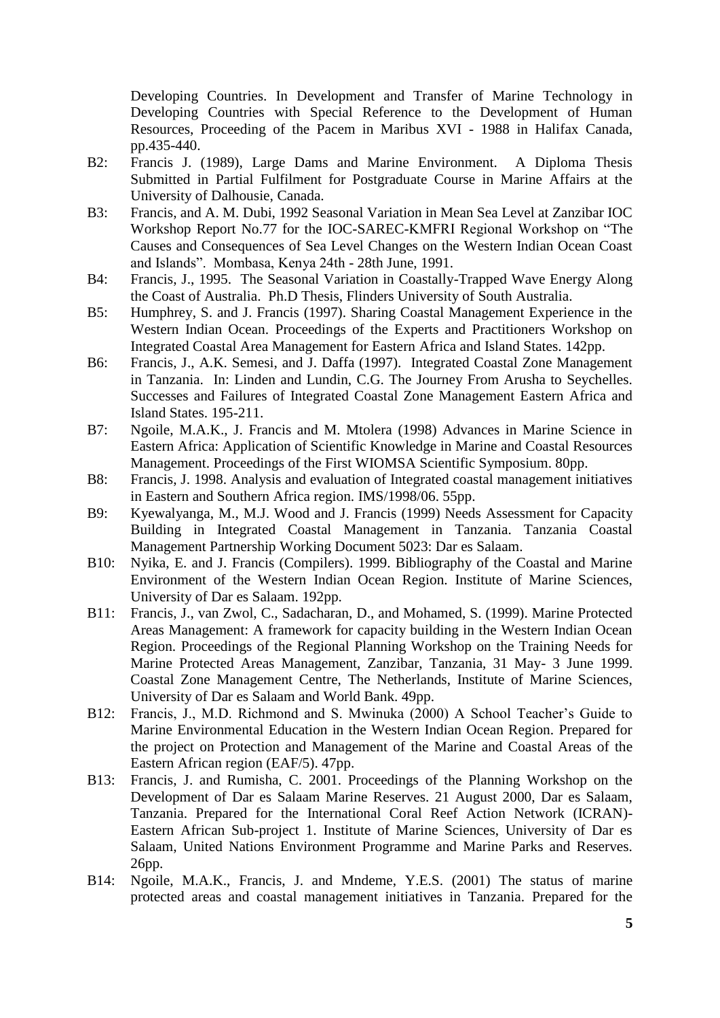Developing Countries. In Development and Transfer of Marine Technology in Developing Countries with Special Reference to the Development of Human Resources, Proceeding of the Pacem in Maribus XVI - 1988 in Halifax Canada, pp.435-440.

- B2: Francis J. (1989), Large Dams and Marine Environment. A Diploma Thesis Submitted in Partial Fulfilment for Postgraduate Course in Marine Affairs at the University of Dalhousie, Canada.
- B3: Francis, and A. M. Dubi, 1992 Seasonal Variation in Mean Sea Level at Zanzibar IOC Workshop Report No.77 for the IOC-SAREC-KMFRI Regional Workshop on "The Causes and Consequences of Sea Level Changes on the Western Indian Ocean Coast and Islands". Mombasa, Kenya 24th - 28th June, 1991.
- B4: Francis, J., 1995. The Seasonal Variation in Coastally-Trapped Wave Energy Along the Coast of Australia. Ph.D Thesis, Flinders University of South Australia.
- B5: Humphrey, S. and J. Francis (1997). Sharing Coastal Management Experience in the Western Indian Ocean. Proceedings of the Experts and Practitioners Workshop on Integrated Coastal Area Management for Eastern Africa and Island States. 142pp.
- B6: Francis, J., A.K. Semesi, and J. Daffa (1997). Integrated Coastal Zone Management in Tanzania. In: Linden and Lundin, C.G. The Journey From Arusha to Seychelles. Successes and Failures of Integrated Coastal Zone Management Eastern Africa and Island States. 195-211.
- B7: Ngoile, M.A.K., J. Francis and M. Mtolera (1998) Advances in Marine Science in Eastern Africa: Application of Scientific Knowledge in Marine and Coastal Resources Management. Proceedings of the First WIOMSA Scientific Symposium. 80pp.
- B8: Francis, J. 1998. Analysis and evaluation of Integrated coastal management initiatives in Eastern and Southern Africa region. IMS/1998/06. 55pp.
- B9: Kyewalyanga, M., M.J. Wood and J. Francis (1999) Needs Assessment for Capacity Building in Integrated Coastal Management in Tanzania. Tanzania Coastal Management Partnership Working Document 5023: Dar es Salaam.
- B10: Nyika, E. and J. Francis (Compilers). 1999. Bibliography of the Coastal and Marine Environment of the Western Indian Ocean Region. Institute of Marine Sciences, University of Dar es Salaam. 192pp.
- B11: Francis, J., van Zwol, C., Sadacharan, D., and Mohamed, S. (1999). Marine Protected Areas Management: A framework for capacity building in the Western Indian Ocean Region. Proceedings of the Regional Planning Workshop on the Training Needs for Marine Protected Areas Management, Zanzibar, Tanzania, 31 May- 3 June 1999. Coastal Zone Management Centre, The Netherlands, Institute of Marine Sciences, University of Dar es Salaam and World Bank. 49pp.
- B12: Francis, J., M.D. Richmond and S. Mwinuka (2000) A School Teacher's Guide to Marine Environmental Education in the Western Indian Ocean Region. Prepared for the project on Protection and Management of the Marine and Coastal Areas of the Eastern African region (EAF/5). 47pp.
- B13: Francis, J. and Rumisha, C. 2001. Proceedings of the Planning Workshop on the Development of Dar es Salaam Marine Reserves. 21 August 2000, Dar es Salaam, Tanzania. Prepared for the International Coral Reef Action Network (ICRAN)- Eastern African Sub-project 1. Institute of Marine Sciences, University of Dar es Salaam, United Nations Environment Programme and Marine Parks and Reserves. 26pp.
- B14: Ngoile, M.A.K., Francis, J. and Mndeme, Y.E.S. (2001) The status of marine protected areas and coastal management initiatives in Tanzania. Prepared for the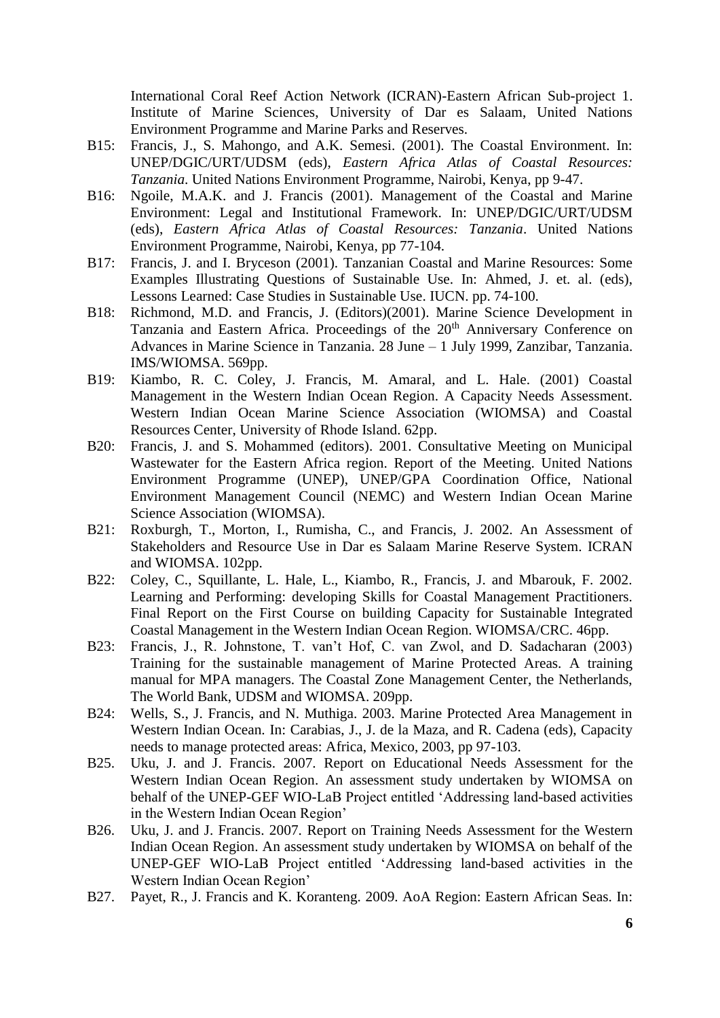International Coral Reef Action Network (ICRAN)-Eastern African Sub-project 1. Institute of Marine Sciences, University of Dar es Salaam, United Nations Environment Programme and Marine Parks and Reserves.

- B15: Francis, J., S. Mahongo, and A.K. Semesi. (2001). The Coastal Environment. In: UNEP/DGIC/URT/UDSM (eds), *Eastern Africa Atlas of Coastal Resources: Tanzania*. United Nations Environment Programme, Nairobi, Kenya, pp 9-47.
- B16: Ngoile, M.A.K. and J. Francis (2001). Management of the Coastal and Marine Environment: Legal and Institutional Framework. In: UNEP/DGIC/URT/UDSM (eds), *Eastern Africa Atlas of Coastal Resources: Tanzania*. United Nations Environment Programme, Nairobi, Kenya, pp 77-104.
- B17: Francis, J. and I. Bryceson (2001). Tanzanian Coastal and Marine Resources: Some Examples Illustrating Questions of Sustainable Use. In: Ahmed, J. et. al. (eds), Lessons Learned: Case Studies in Sustainable Use. IUCN. pp. 74-100.
- B18: Richmond, M.D. and Francis, J. (Editors)(2001). Marine Science Development in Tanzania and Eastern Africa. Proceedings of the 20<sup>th</sup> Anniversary Conference on Advances in Marine Science in Tanzania. 28 June – 1 July 1999, Zanzibar, Tanzania. IMS/WIOMSA. 569pp.
- B19: Kiambo, R. C. Coley, J. Francis, M. Amaral, and L. Hale. (2001) Coastal Management in the Western Indian Ocean Region. A Capacity Needs Assessment. Western Indian Ocean Marine Science Association (WIOMSA) and Coastal Resources Center, University of Rhode Island. 62pp.
- B20: Francis, J. and S. Mohammed (editors). 2001. Consultative Meeting on Municipal Wastewater for the Eastern Africa region. Report of the Meeting. United Nations Environment Programme (UNEP), UNEP/GPA Coordination Office, National Environment Management Council (NEMC) and Western Indian Ocean Marine Science Association (WIOMSA).
- B21: Roxburgh, T., Morton, I., Rumisha, C., and Francis, J. 2002. An Assessment of Stakeholders and Resource Use in Dar es Salaam Marine Reserve System. ICRAN and WIOMSA. 102pp.
- B22: Coley, C., Squillante, L. Hale, L., Kiambo, R., Francis, J. and Mbarouk, F. 2002. Learning and Performing: developing Skills for Coastal Management Practitioners. Final Report on the First Course on building Capacity for Sustainable Integrated Coastal Management in the Western Indian Ocean Region. WIOMSA/CRC. 46pp.
- B23: Francis, J., R. Johnstone, T. van't Hof, C. van Zwol, and D. Sadacharan (2003) Training for the sustainable management of Marine Protected Areas. A training manual for MPA managers. The Coastal Zone Management Center, the Netherlands, The World Bank, UDSM and WIOMSA. 209pp.
- B24: Wells, S., J. Francis, and N. Muthiga. 2003. Marine Protected Area Management in Western Indian Ocean. In: Carabias, J., J. de la Maza, and R. Cadena (eds), Capacity needs to manage protected areas: Africa, Mexico, 2003, pp 97-103.
- B25. Uku, J. and J. Francis. 2007. Report on Educational Needs Assessment for the Western Indian Ocean Region. An assessment study undertaken by WIOMSA on behalf of the UNEP-GEF WIO-LaB Project entitled 'Addressing land-based activities in the Western Indian Ocean Region'
- B26. Uku, J. and J. Francis. 2007. Report on Training Needs Assessment for the Western Indian Ocean Region. An assessment study undertaken by WIOMSA on behalf of the UNEP-GEF WIO-LaB Project entitled 'Addressing land-based activities in the Western Indian Ocean Region'
- B27. Payet, R., J. Francis and K. Koranteng. 2009. AoA Region: Eastern African Seas. In: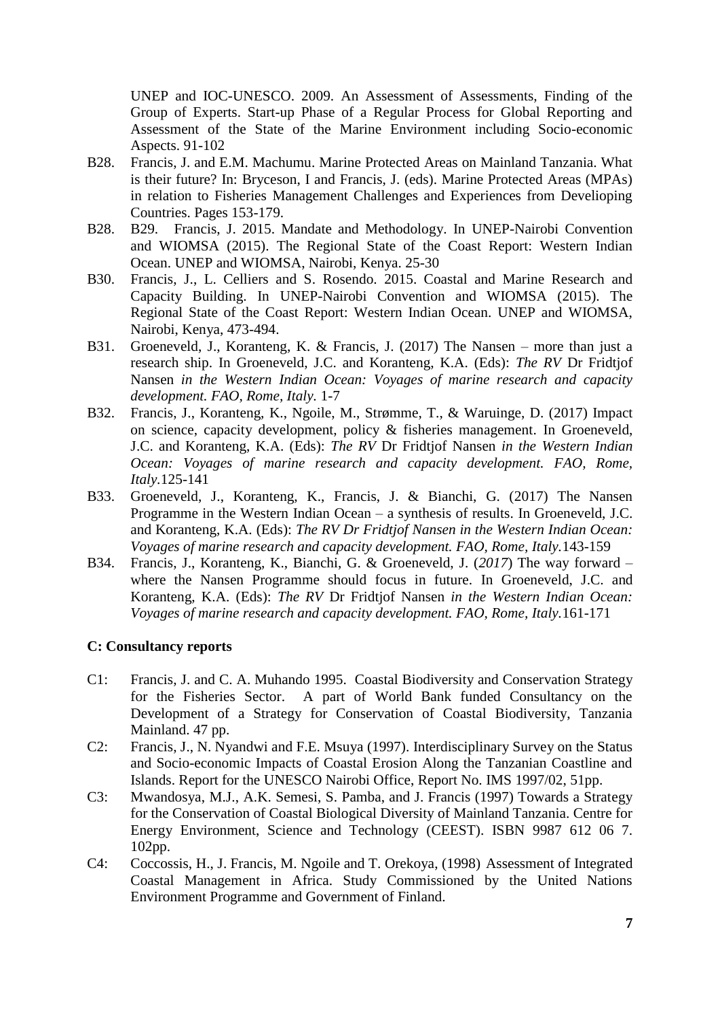UNEP and IOC-UNESCO. 2009. An Assessment of Assessments, Finding of the Group of Experts. Start-up Phase of a Regular Process for Global Reporting and Assessment of the State of the Marine Environment including Socio-economic Aspects. 91-102

- B28. Francis, J. and E.M. Machumu. Marine Protected Areas on Mainland Tanzania. What is their future? In: Bryceson, I and Francis, J. (eds). Marine Protected Areas (MPAs) in relation to Fisheries Management Challenges and Experiences from Develioping Countries. Pages 153-179.
- B28. B29. Francis, J. 2015. Mandate and Methodology. In UNEP-Nairobi Convention and WIOMSA (2015). The Regional State of the Coast Report: Western Indian Ocean. UNEP and WIOMSA, Nairobi, Kenya. 25-30
- B30. Francis, J., L. Celliers and S. Rosendo. 2015. Coastal and Marine Research and Capacity Building. In UNEP-Nairobi Convention and WIOMSA (2015). The Regional State of the Coast Report: Western Indian Ocean. UNEP and WIOMSA, Nairobi, Kenya, 473-494.
- B31. Groeneveld, J., Koranteng, K. & Francis, J. (2017) The Nansen more than just a research ship. In Groeneveld, J.C. and Koranteng, K.A. (Eds): *The RV* Dr Fridtjof Nansen *in the Western Indian Ocean: Voyages of marine research and capacity development. FAO, Rome, Italy.* 1-7
- B32. Francis, J., Koranteng, K., Ngoile, M., Strømme, T., & Waruinge, D. (2017) Impact on science, capacity development, policy & fisheries management. In Groeneveld, J.C. and Koranteng, K.A. (Eds): *The RV* Dr Fridtjof Nansen *in the Western Indian Ocean: Voyages of marine research and capacity development. FAO, Rome, Italy.*125-141
- B33. Groeneveld, J., Koranteng, K., Francis, J. & Bianchi, G. (2017) The Nansen Programme in the Western Indian Ocean – a synthesis of results. In Groeneveld, J.C. and Koranteng, K.A. (Eds): *The RV Dr Fridtjof Nansen in the Western Indian Ocean: Voyages of marine research and capacity development. FAO, Rome, Italy.*143-159
- B34. Francis, J., Koranteng, K., Bianchi, G. & Groeneveld, J. (*2017*) The way forward where the Nansen Programme should focus in future. In Groeneveld, J.C. and Koranteng, K.A. (Eds): *The RV* Dr Fridtjof Nansen *in the Western Indian Ocean: Voyages of marine research and capacity development. FAO, Rome, Italy.*161-171

### **C: Consultancy reports**

- C1: Francis, J. and C. A. Muhando 1995. Coastal Biodiversity and Conservation Strategy for the Fisheries Sector. A part of World Bank funded Consultancy on the Development of a Strategy for Conservation of Coastal Biodiversity, Tanzania Mainland. 47 pp.
- C2: Francis, J., N. Nyandwi and F.E. Msuya (1997). Interdisciplinary Survey on the Status and Socio-economic Impacts of Coastal Erosion Along the Tanzanian Coastline and Islands. Report for the UNESCO Nairobi Office, Report No. IMS 1997/02, 51pp.
- C3: Mwandosya, M.J., A.K. Semesi, S. Pamba, and J. Francis (1997) Towards a Strategy for the Conservation of Coastal Biological Diversity of Mainland Tanzania. Centre for Energy Environment, Science and Technology (CEEST). ISBN 9987 612 06 7. 102pp.
- C4: Coccossis, H., J. Francis, M. Ngoile and T. Orekoya, (1998) Assessment of Integrated Coastal Management in Africa. Study Commissioned by the United Nations Environment Programme and Government of Finland.